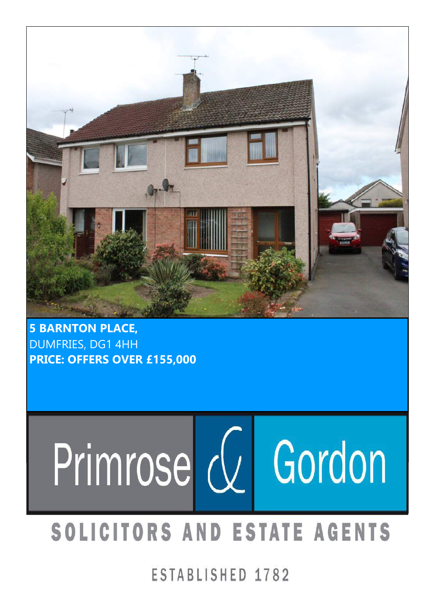

**5 BARNTON PLACE,** DUMFRIES, DG1 4HH **PRICE: OFFERS OVER £155,000**

#### 555 555 5555 Name Name Name Name Name Name Name Name Name 555 555 5555 55 555 555 5555 555 555 5555 555 555 5555 555 555 5555 555 555 5555 555 555 5555 555 555 5555

# SOLICITORS AND ESTATE AGENTS

ESTABLISHED 1782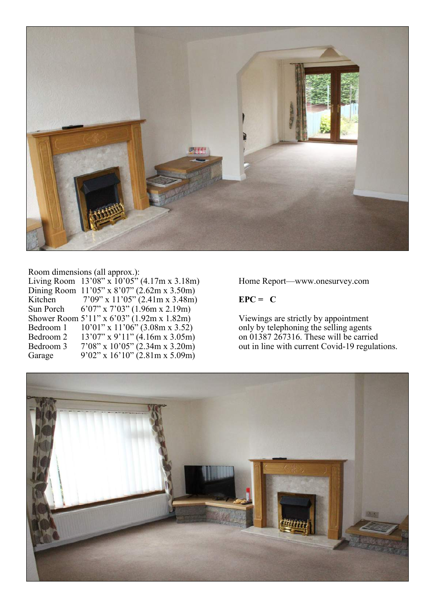

## Room dimensions (all approx.):

|           | Living Room $13'08''$ x $10'05''$ (4.17m x 3.18m) | Home Report—www.onesurvey.com                  |
|-----------|---------------------------------------------------|------------------------------------------------|
|           | Dining Room $11'05''$ x $8'07''$ (2.62m x 3.50m)  |                                                |
|           | Kitchen $7'09''$ x 11'05" (2.41m x 3.48m)         | $EPC = C$                                      |
|           | Sun Porch $6'07''$ x $7'03''$ (1.96m x 2.19m)     |                                                |
|           | Shower Room 5'11" x 6'03" (1.92m x 1.82m)         | Viewings are strictly by appointment           |
|           | Bedroom 1 $10'01''$ x 11'06" (3.08m x 3.52)       | only by telephoning the selling agents         |
| Bedroom 2 | $13'07''$ x 9'11" (4.16m x 3.05m)                 | on 01387 267316. These will be carried         |
| Bedroom 3 | $7'08''$ x 10'05" (2.34m x 3.20m)                 | out in line with current Covid-19 regulations. |
| Garage    | $9'02''$ x 16'10" (2.81m x 5.09m)                 |                                                |

# $EPC = C$

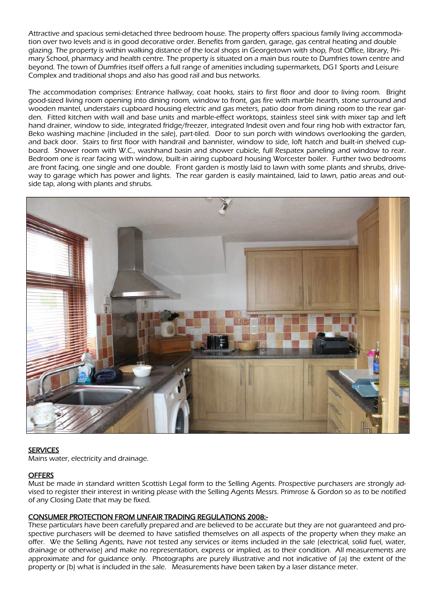Attractive and spacious semi-detached three bedroom house. The property offers spacious family living accommodation over two levels and is in good decorative order. Benefits from garden, garage, gas central heating and double glazing. The property is within walking distance of the local shops in Georgetown with shop, Post Office, library, Primary School, pharmacy and health centre. The property is situated on a main bus route to Dumfries town centre and beyond. The town of Dumfries itself offers a full range of amenities including supermarkets, DG1 Sports and Leisure Complex and traditional shops and also has good rail and bus networks.

The accommodation comprises: Entrance hallway, coat hooks, stairs to first floor and door to living room. Bright good-sized living room opening into dining room, window to front, gas fire with marble hearth, stone surround and wooden mantel, understairs cupboard housing electric and gas meters, patio door from dining room to the rear garden. Fitted kitchen with wall and base units and marble-effect worktops, stainless steel sink with mixer tap and left hand drainer, window to side, integrated fridge/freezer, integrated Indesit oven and four ring hob with extractor fan, Beko washing machine (included in the sale), part-tiled. Door to sun porch with windows overlooking the garden, and back door. Stairs to first floor with handrail and bannister, window to side, loft hatch and built-in shelved cupboard. Shower room with W.C., washhand basin and shower cubicle, full Respatex paneling and window to rear. Bedroom one is rear facing with window, built-in airing cupboard housing Worcester boiler. Further two bedrooms are front facing, one single and one double. Front garden is mostly laid to lawn with some plants and shrubs, driveway to garage which has power and lights. The rear garden is easily maintained, laid to lawn, patio areas and outside tap, along with plants and shrubs.



#### **SERVICES**

Mains water, electricity and drainage.

#### **OFFERS**

Must be made in standard written Scottish Legal form to the Selling Agents. Prospective purchasers are strongly advised to register their interest in writing please with the Selling Agents Messrs. Primrose & Gordon so as to be notified of any Closing Date that may be fixed.

#### CONSUMER PROTECTION FROM UNFAIR TRADING REGULATIONS 2008:-

These particulars have been carefully prepared and are believed to be accurate but they are not guaranteed and prospective purchasers will be deemed to have satisfied themselves on all aspects of the property when they make an offer. We the Selling Agents, have not tested any services or items included in the sale (electrical, solid fuel, water, drainage or otherwise) and make no representation, express or implied, as to their condition. All measurements are approximate and for guidance only. Photographs are purely illustrative and not indicative of (a) the extent of the property or (b) what is included in the sale. Measurements have been taken by a laser distance meter.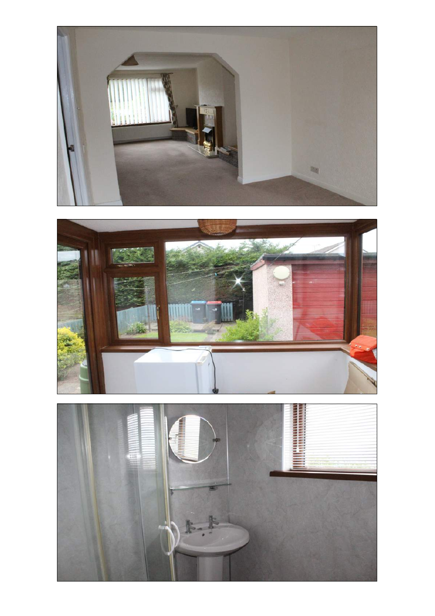



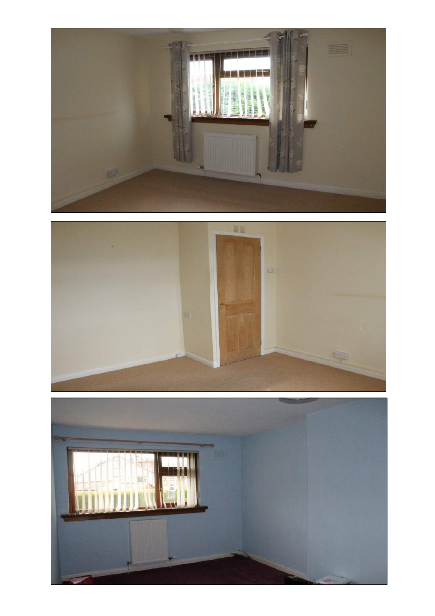



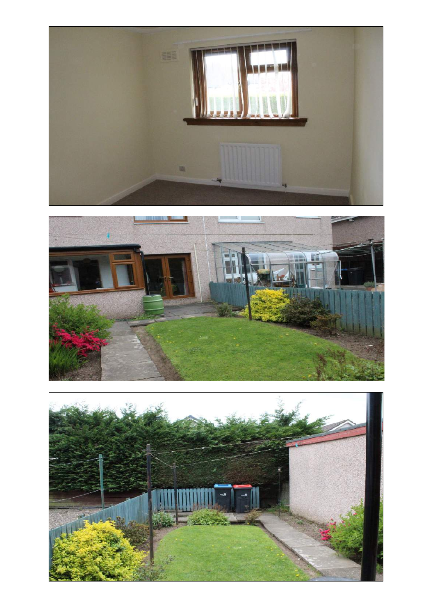